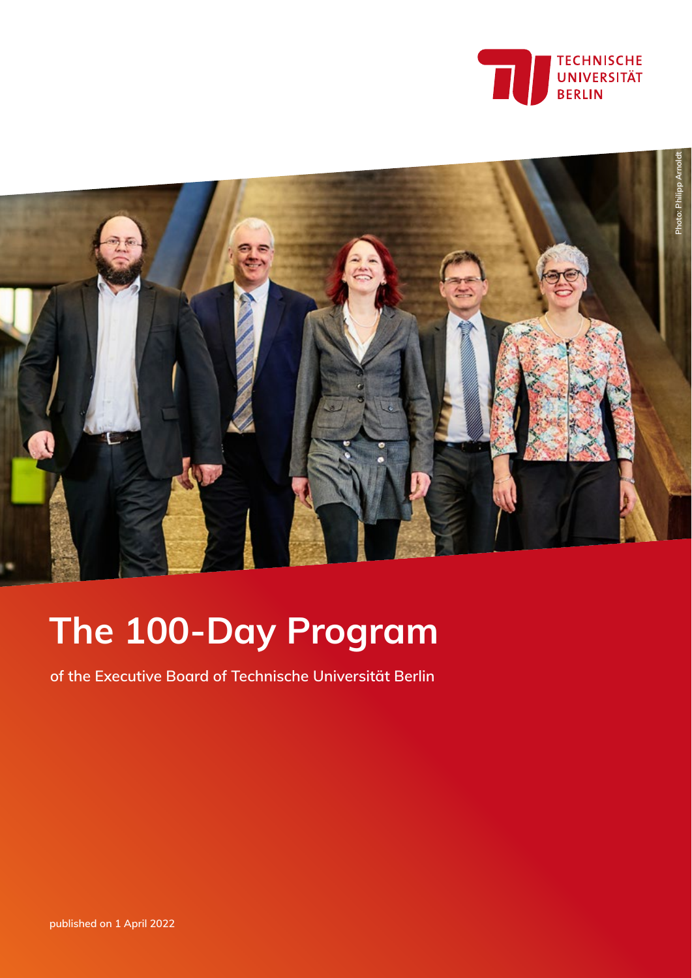



# **The 100-Day Program**

**of the Executive Board of Technische Universität Berlin**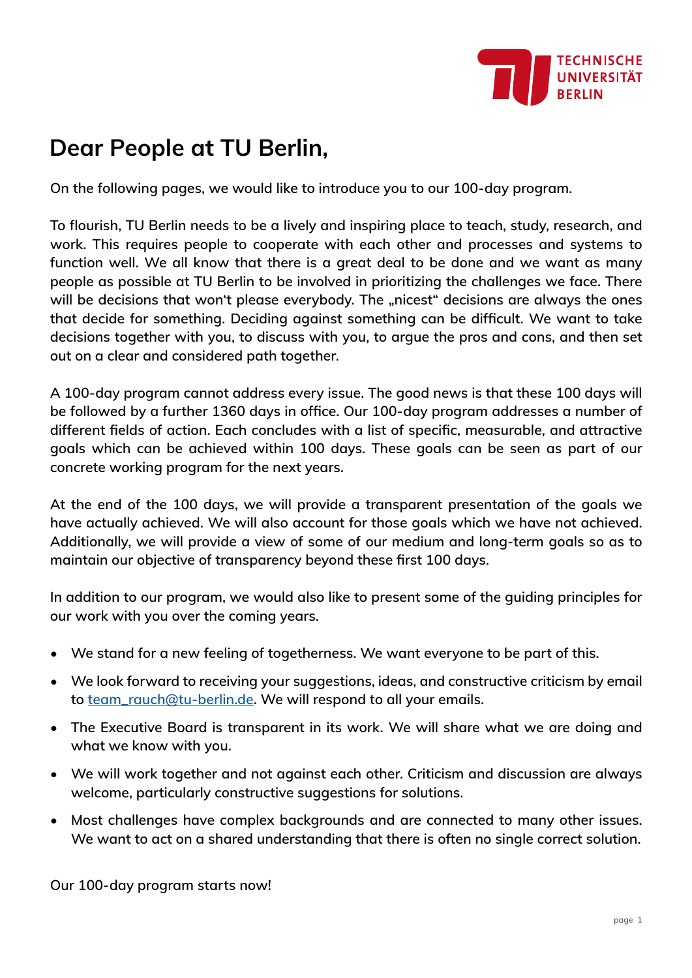

# **Dear People at TU Berlin,**

**On the following pages, we would like to introduce you to our 100-day program.** 

**To flourish, TU Berlin needs to be a lively and inspiring place to teach, study, research, and work. This requires people to cooperate with each other and processes and systems to function well. We all know that there is a great deal to be done and we want as many people as possible at TU Berlin to be involved in prioritizing the challenges we face. There**  will be decisions that won't please everybody. The "nicest" decisions are always the ones **that decide for something. Deciding against something can be difficult. We want to take decisions together with you, to discuss with you, to argue the pros and cons, and then set out on a clear and considered path together.**

**A 100-day program cannot address every issue. The good news is that these 100 days will be followed by a further 1360 days in office. Our 100-day program addresses a number of different fields of action. Each concludes with a list of specific, measurable, and attractive goals which can be achieved within 100 days. These goals can be seen as part of our concrete working program for the next years.** 

**At the end of the 100 days, we will provide a transparent presentation of the goals we have actually achieved. We will also account for those goals which we have not achieved. Additionally, we will provide a view of some of our medium and long-term goals so as to maintain our objective of transparency beyond these first 100 days.**

**In addition to our program, we would also like to present some of the guiding principles for our work with you over the coming years.**

- **• We stand for a new feeling of togetherness. We want everyone to be part of this.**
- **• We look forward to receiving your suggestions, ideas, and constructive criticism by email to [team\\_rauch@tu-berlin.de](mailto:team_rauch%40tu-berlin.de?subject=100-day%20program). We will respond to all your emails.**
- **• The Executive Board is transparent in its work. We will share what we are doing and what we know with you.**
- **• We will work together and not against each other. Criticism and discussion are always welcome, particularly constructive suggestions for solutions.**
- **• Most challenges have complex backgrounds and are connected to many other issues. We want to act on a shared understanding that there is often no single correct solution.**

**Our 100-day program starts now!**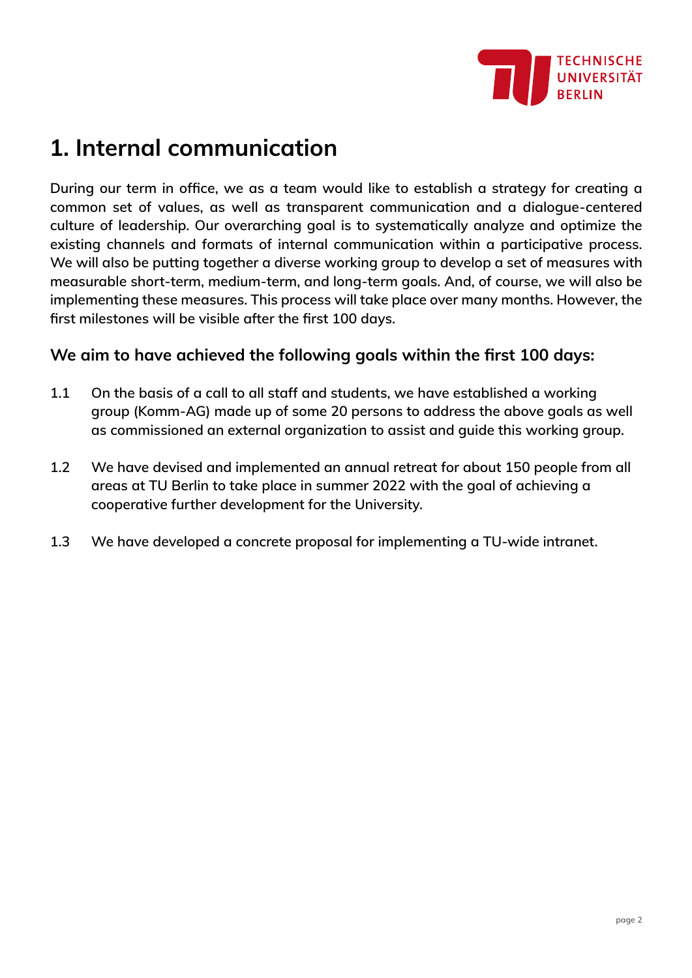

# **1. Internal communication**

**During our term in office, we as a team would like to establish a strategy for creating a common set of values, as well as transparent communication and a dialogue-centered culture of leadership. Our overarching goal is to systematically analyze and optimize the existing channels and formats of internal communication within a participative process. We will also be putting together a diverse working group to develop a set of measures with measurable short-term, medium-term, and long-term goals. And, of course, we will also be implementing these measures. This process will take place over many months. However, the first milestones will be visible after the first 100 days.** 

#### **We aim to have achieved the following goals within the first 100 days:**

- **1.1 On the basis of a call to all staff and students, we have established a working group (Komm-AG) made up of some 20 persons to address the above goals as well as commissioned an external organization to assist and guide this working group.**
- **1.2 We have devised and implemented an annual retreat for about 150 people from all areas at TU Berlin to take place in summer 2022 with the goal of achieving a cooperative further development for the University.**
- **1.3 We have developed a concrete proposal for implementing a TU-wide intranet.**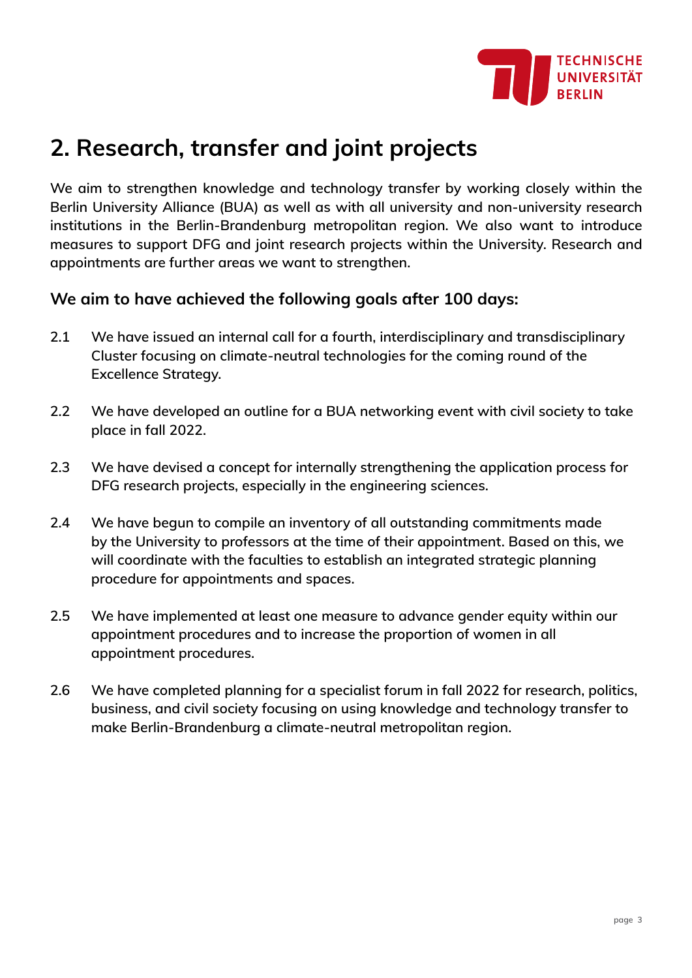

# **2. Research, transfer and joint projects**

**We aim to strengthen knowledge and technology transfer by working closely within the Berlin University Alliance (BUA) as well as with all university and non-university research institutions in the Berlin-Brandenburg metropolitan region. We also want to introduce measures to support DFG and joint research projects within the University. Research and appointments are further areas we want to strengthen.**

### **We aim to have achieved the following goals after 100 days:**

- **2.1 We have issued an internal call for a fourth, interdisciplinary and transdisciplinary Cluster focusing on climate-neutral technologies for the coming round of the Excellence Strategy.**
- **2.2 We have developed an outline for a BUA networking event with civil society to take place in fall 2022.**
- **2.3 We have devised a concept for internally strengthening the application process for DFG research projects, especially in the engineering sciences.**
- **2.4 We have begun to compile an inventory of all outstanding commitments made by the University to professors at the time of their appointment. Based on this, we will coordinate with the faculties to establish an integrated strategic planning procedure for appointments and spaces.**
- **2.5 We have implemented at least one measure to advance gender equity within our appointment procedures and to increase the proportion of women in all appointment procedures.**
- **2.6 We have completed planning for a specialist forum in fall 2022 for research, politics, business, and civil society focusing on using knowledge and technology transfer to make Berlin-Brandenburg a climate-neutral metropolitan region.**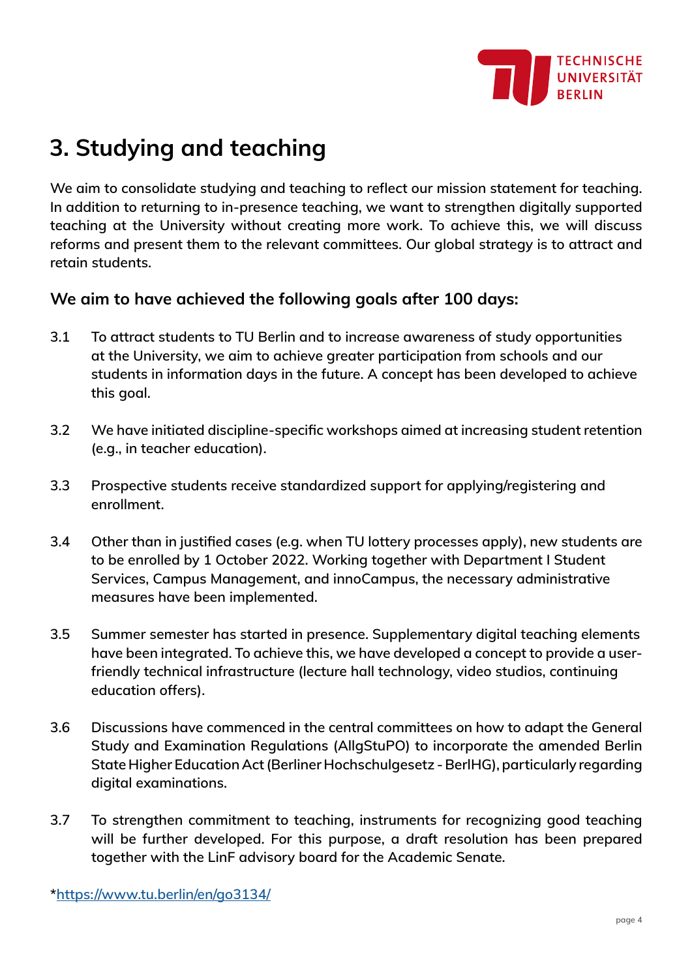

# **3. Studying and teaching**

**We aim to consolidate studying and teaching to reflect our mission statement for teaching. In addition to returning to in-presence teaching, we want to strengthen digitally supported teaching at the University without creating more work. To achieve this, we will discuss reforms and present them to the relevant committees. Our global strategy is to attract and retain students.**

### **We aim to have achieved the following goals after 100 days:**

- **3.1 To attract students to TU Berlin and to increase awareness of study opportunities at the University, we aim to achieve greater participation from schools and our students in information days in the future. A concept has been developed to achieve this goal.**
- **3.2 We have initiated discipline-specific workshops aimed at increasing student retention (e.g., in teacher education).**
- **3.3 Prospective students receive standardized support for applying/registering and enrollment.**
- **3.4 Other than in justified cases (e.g. when TU lottery processes apply), new students are to be enrolled by 1 October 2022. Working together with Department I Student Services, Campus Management, and innoCampus, the necessary administrative measures have been implemented.**
- **3.5 Summer semester has started in presence. Supplementary digital teaching elements have been integrated. To achieve this, we have developed a concept to provide a userfriendly technical infrastructure (lecture hall technology, video studios, continuing education offers).**
- **3.6 Discussions have commenced in the central committees on how to adapt the General Study and Examination Regulations (AllgStuPO) to incorporate the amended Berlin State Higher Education Act (Berliner Hochschulgesetz - BerlHG), particularly regarding digital examinations.**
- **3.7 To strengthen commitment to teaching, instruments for recognizing good teaching will be further developed. For this purpose, a draft resolution has been prepared together with the LinF advisory board for the Academic Senate.**

**\*<https://www.tu.berlin/en/go3134/>**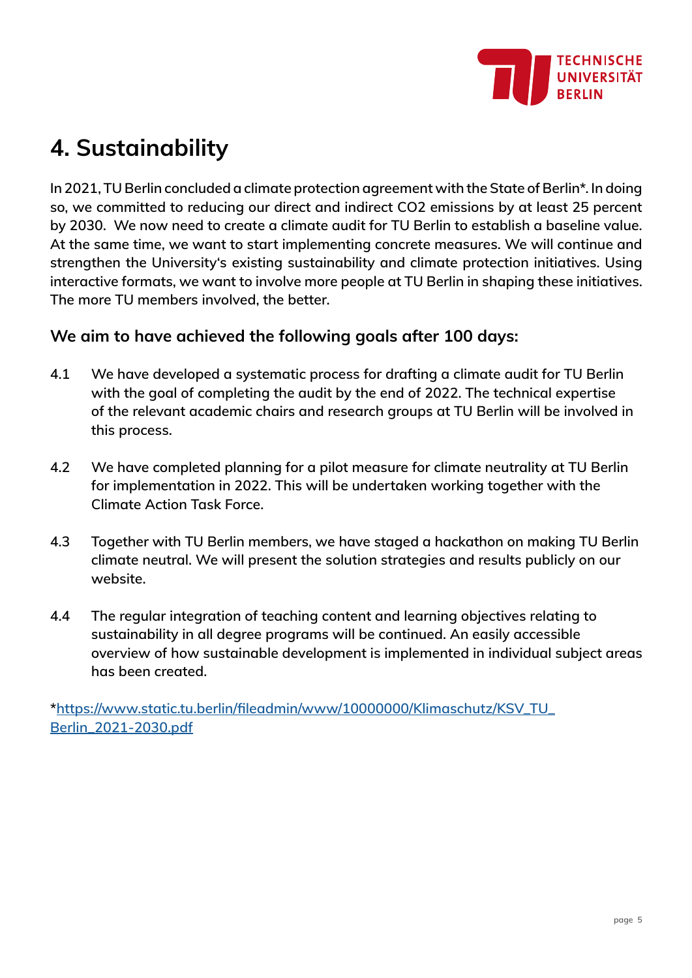

# **4. Sustainability**

**In 2021, TU Berlin concluded a climate protection agreement with the State of Berlin\*. In doing so, we committed to reducing our direct and indirect CO2 emissions by at least 25 percent by 2030. We now need to create a climate audit for TU Berlin to establish a baseline value. At the same time, we want to start implementing concrete measures. We will continue and strengthen the University's existing sustainability and climate protection initiatives. Using interactive formats, we want to involve more people at TU Berlin in shaping these initiatives. The more TU members involved, the better.**

### **We aim to have achieved the following goals after 100 days:**

- **4.1 We have developed a systematic process for drafting a climate audit for TU Berlin with the goal of completing the audit by the end of 2022. The technical expertise of the relevant academic chairs and research groups at TU Berlin will be involved in this process.**
- **4.2 We have completed planning for a pilot measure for climate neutrality at TU Berlin for implementation in 2022. This will be undertaken working together with the Climate Action Task Force.**
- **4.3 Together with TU Berlin members, we have staged a hackathon on making TU Berlin climate neutral. We will present the solution strategies and results publicly on our website.**
- **4.4 The regular integration of teaching content and learning objectives relating to sustainability in all degree programs will be continued. An easily accessible overview of how sustainable development is implemented in individual subject areas has been created.**

**\*[https://www.static.tu.berlin/fileadmin/www/10000000/Klimaschutz/KSV\\_TU\\_](https://www.static.tu.berlin/fileadmin/www/10000000/Klimaschutz/KSV_TU_Berlin_2021-2030.pdf) [Berlin\\_2021-2030.pdf](https://www.static.tu.berlin/fileadmin/www/10000000/Klimaschutz/KSV_TU_Berlin_2021-2030.pdf)**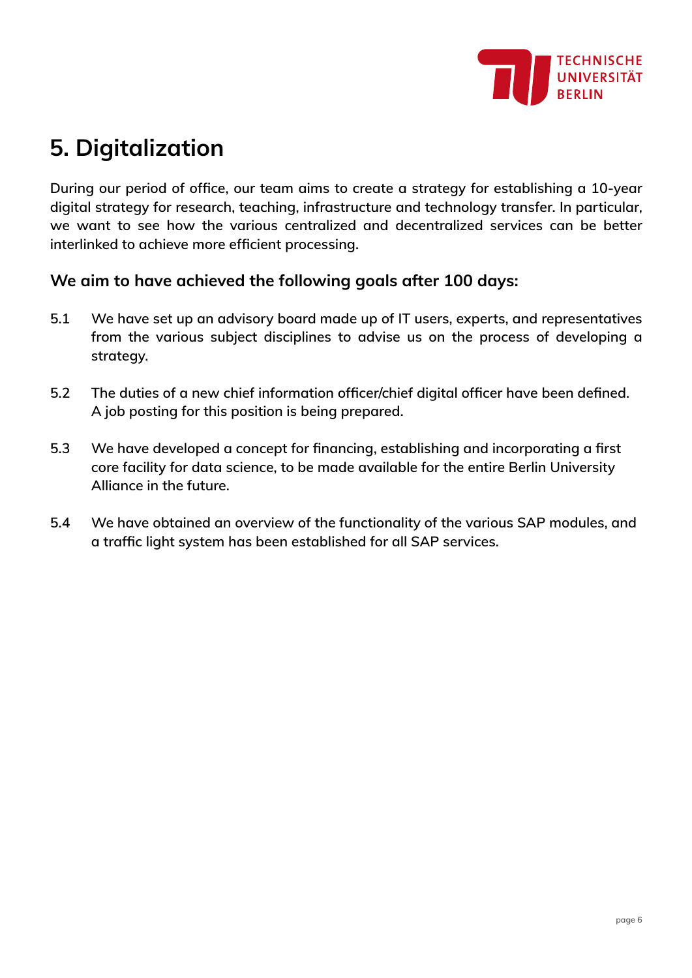

# **5. Digitalization**

**During our period of office, our team aims to create a strategy for establishing a 10-year digital strategy for research, teaching, infrastructure and technology transfer. In particular, we want to see how the various centralized and decentralized services can be better interlinked to achieve more efficient processing.**

### **We aim to have achieved the following goals after 100 days:**

- **5.1 We have set up an advisory board made up of IT users, experts, and representatives from the various subject disciplines to advise us on the process of developing a strategy.**
- **5.2 The duties of a new chief information officer/chief digital officer have been defined. A job posting for this position is being prepared.**
- **5.3 We have developed a concept for financing, establishing and incorporating a first core facility for data science, to be made available for the entire Berlin University Alliance in the future.**
- **5.4 We have obtained an overview of the functionality of the various SAP modules, and a traffic light system has been established for all SAP services.**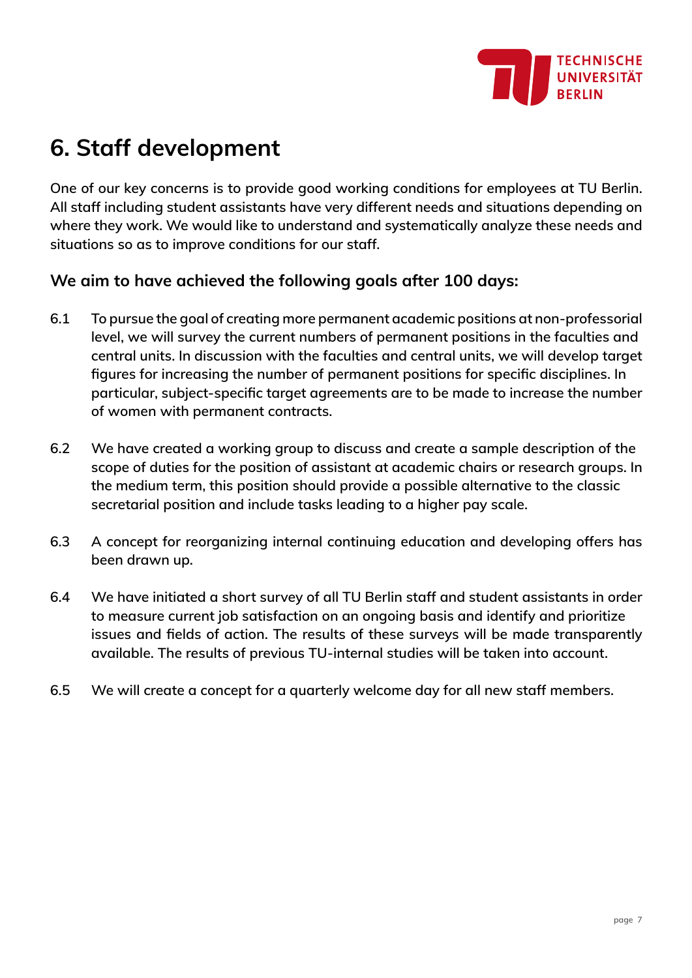

# **6. Staff development**

**One of our key concerns is to provide good working conditions for employees at TU Berlin. All staff including student assistants have very different needs and situations depending on where they work. We would like to understand and systematically analyze these needs and situations so as to improve conditions for our staff.**

### **We aim to have achieved the following goals after 100 days:**

- **6.1 To pursue the goal of creating more permanent academic positions at non-professorial level, we will survey the current numbers of permanent positions in the faculties and central units. In discussion with the faculties and central units, we will develop target figures for increasing the number of permanent positions for specific disciplines. In particular, subject-specific target agreements are to be made to increase the number of women with permanent contracts.**
- **6.2 We have created a working group to discuss and create a sample description of the scope of duties for the position of assistant at academic chairs or research groups. In the medium term, this position should provide a possible alternative to the classic secretarial position and include tasks leading to a higher pay scale.**
- **6.3 A concept for reorganizing internal continuing education and developing offers has been drawn up.**
- **6.4 We have initiated a short survey of all TU Berlin staff and student assistants in order to measure current job satisfaction on an ongoing basis and identify and prioritize issues and fields of action. The results of these surveys will be made transparently available. The results of previous TU-internal studies will be taken into account.**
- **6.5 We will create a concept for a quarterly welcome day for all new staff members.**